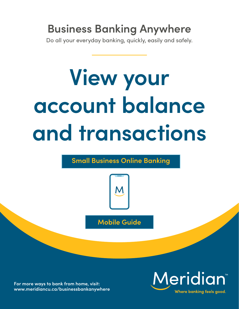## **Business Banking Anywhere**

Do all your everyday banking, quickly, easily and safely.

# **View your account balance and transactions**

### **Small Business Online Banking**



**Mobile Guide**

**For more ways to bank from home, visit: [www.meridiancu.ca/businessbankanywhere](http://www.meridiancu.ca/businessbankanywhere)**

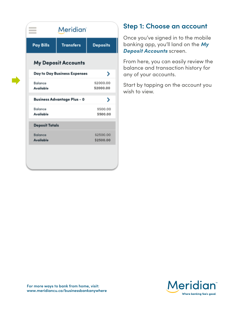| <b>Meridian</b>  |                                                                                                                                  |
|------------------|----------------------------------------------------------------------------------------------------------------------------------|
| <b>Transfers</b> | <b>Deposits</b>                                                                                                                  |
|                  |                                                                                                                                  |
|                  | ⋋                                                                                                                                |
|                  | \$2000.00<br>\$2000.00                                                                                                           |
|                  | ⋋                                                                                                                                |
|                  | \$500.00<br>\$500.00                                                                                                             |
|                  |                                                                                                                                  |
|                  | \$2500.00<br>\$2500.00                                                                                                           |
|                  | <b>My Deposit Accounts</b><br><b>Day to Day Business Expenses</b><br><b>Business Advantage Plus - 0</b><br><b>Deposit Totals</b> |

#### **Step 1: Choose an account**

Once you've signed in to the mobile banking app, you'll land on the *My Deposit Accounts* screen.

From here, you can easily review the balance and transaction history for any of your accounts.

Start by tapping on the account you wish to view.

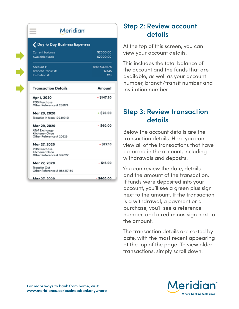| ___<br>Meridian<br>$\sim$                                                  |                             |  |
|----------------------------------------------------------------------------|-----------------------------|--|
| ◯ Day to Day Business Expenses                                             |                             |  |
| <b>Current balance</b><br><b>Available funds</b>                           | \$2000.00<br>\$2000.00      |  |
| Account #:<br>Branch/Transit #:<br>Institution #:                          | 01012345678<br>12345<br>123 |  |
| <b>Transaction Details</b>                                                 | Amount                      |  |
| Apr 1, 2020<br>POS Purchase<br>Other Reference # 258174                    | - \$147.20                  |  |
| Mar 29, 2020<br>Transfer In from 100499151                                 | $+$ \$20.00                 |  |
| Mar 29, 2020<br>ATM Exchange<br>Kitchener Onca<br>Other Reference # 20628  | $-$ \$60.00                 |  |
| Mar 27, 2020<br>POS Purchase<br>Kitchener Onca<br>Other Reference # 314027 | $-$ \$27.10                 |  |
| Mar 27, 2020<br><b>Transfer Out</b><br>Other Reference # 084217180         | $-$ \$15.00                 |  |
| Mar 27 2020                                                                | <b>90.0022</b>              |  |

#### **Step 2: Review account details**

At the top of this screen, you can view your account details.

This includes the total balance of the account and the funds that are available, as well as your account number, branch/transit number and institution number.

#### **Step 3: Review transaction details**

Below the account details are the transaction details. Here you can view all of the transactions that have occurred in the account, including withdrawals and deposits.

You can review the date, details and the amount of the transaction. If funds were deposited into your account, you'll see a green plus sign next to the amount. If the transaction is a withdrawal, a payment or a purchase, you'll see a reference number, and a red minus sign next to the amount.

The transaction details are sorted by date, with the most recent appearing at the top of the page. To view older transactions, simply scroll down.